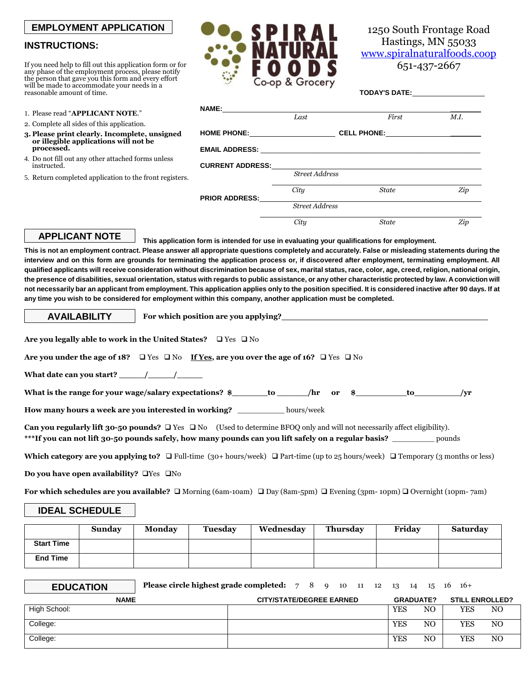## **EMPLOYMENT APPLICATION**

## **INSTRUCTIONS:**

If you need help to fill out this application form or for any phase of the employment process, please notify the person that gave you this form and every effort will be made to accommodate your needs in a reasonable amount of time.

- 1. Please read "**APPLICANT NOTE**."
- 2. Complete all sides of this application.
- **3. Please print clearly. Incomplete, unsigned or illegible applications will not be processed.**
- 4. Do not fill out any other attached forms unless instructed.
- 5. Return completed application to the front registers.

| ATU             |
|-----------------|
| Co-op & Grocery |

1250 South Frontage Road Hastings, MN 55033 [www.spiralnaturalfoods.coop](http://www.spiralnaturalfoods.coop/)

651-437-2667

| NAME:____________________ |                       |                    |      |  |
|---------------------------|-----------------------|--------------------|------|--|
|                           | Last                  | First              | M.I. |  |
|                           |                       | <b>CELL PHONE:</b> |      |  |
|                           |                       |                    |      |  |
| <b>CURRENT ADDRESS:</b>   |                       |                    |      |  |
|                           | <b>Street Address</b> |                    |      |  |
| <b>PRIOR ADDRESS:</b>     | City                  | <b>State</b>       | Zip  |  |
|                           | <b>Street Address</b> |                    |      |  |
|                           | City                  | <b>State</b>       | Zip  |  |
|                           |                       |                    |      |  |

## **APPLICANT NOTE**

**AVAILABILITY**

**This application form is intended for use in evaluating your qualifications for employment. This is not an employment contract. Please answer all appropriate questions completely and accurately. False or misleading statements during the interview and on this form are grounds for terminating the application process or, if discovered after employment, terminating employment. All qualified applicants will receive consideration without discrimination because of sex, marital status, race, color, age, creed, religion, national origin, the presence of disabilities, sexual orientation, status with regards to public assistance, or any other characteristic protected by law. A conviction will not necessarily bar an applicant from employment. This application applies only to the position specified. It is considered inactive after 90 days. If at any time you wish to be considered for employment within this company, another application must be completed.**

**For which position are you applying?**

**Are you legally able to work in the United States?** □ Yes □ No

**Are you under the age of 18?**  $\Box$  Yes  $\Box$  No **If Yes**, are you over the age of 16?  $\Box$  Yes  $\Box$  No

**What date can you start? \_\_\_\_\_/\_\_\_\_\_/\_\_\_\_\_** 

**What is the range for your wage/salary expectations? \$\_\_\_\_\_\_\_to \_\_\_\_\_\_/hr or \$\_\_\_\_\_\_\_\_\_\_to\_\_\_\_\_\_\_\_\_/yr**

**How many hours a week are you interested in working?** \_\_\_\_\_\_\_\_\_\_ hours/week

Can you regularly lift 30-50 pounds? □ Yes □ No (Used to determine BFOQ only and will not necessarily affect eligibility). **\*\*\*If you can not lift 30-50 pounds safely, how many pounds can you lift safely on a regular basis?** \_\_\_\_\_\_\_\_\_ pounds

**Which category are you applying to?**  $\Box$  Full-time (30+ hours/week)  $\Box$  Part-time (up to 25 hours/week)  $\Box$  Temporary (3 months or less)

**Do you have open availability? Yes**  $\Box$  No

**For which schedules are you available?**  $\Box$  Morning (6am-10am)  $\Box$  Day (8am-5pm)  $\Box$  Evening (3pm-10pm)  $\Box$  Overnight (10pm-7am)

## **IDEAL SCHEDULE**

|                   | Sunday | Monday | Tuesdav | Wednesdav | Thursday | Friday | <b>Saturday</b> |
|-------------------|--------|--------|---------|-----------|----------|--------|-----------------|
| <b>Start Time</b> |        |        |         |           |          |        |                 |
| <b>End Time</b>   |        |        |         |           |          |        |                 |

| <b>EDUCATION</b> | <b>Please circle highest grade completed:</b> $78910111221314151616+$ |                                 |  |  |            |                  |            |                        |
|------------------|-----------------------------------------------------------------------|---------------------------------|--|--|------------|------------------|------------|------------------------|
| <b>NAME</b>      |                                                                       | <b>CITY/STATE/DEGREE EARNED</b> |  |  |            | <b>GRADUATE?</b> |            | <b>STILL ENROLLED?</b> |
| High School:     |                                                                       |                                 |  |  | <b>YES</b> | NO.              | YES        | NO                     |
| College:         |                                                                       |                                 |  |  | <b>YES</b> | N <sub>O</sub>   | <b>YES</b> | NO.                    |
| College:         |                                                                       |                                 |  |  | <b>YES</b> | NO               | <b>YES</b> | NO.                    |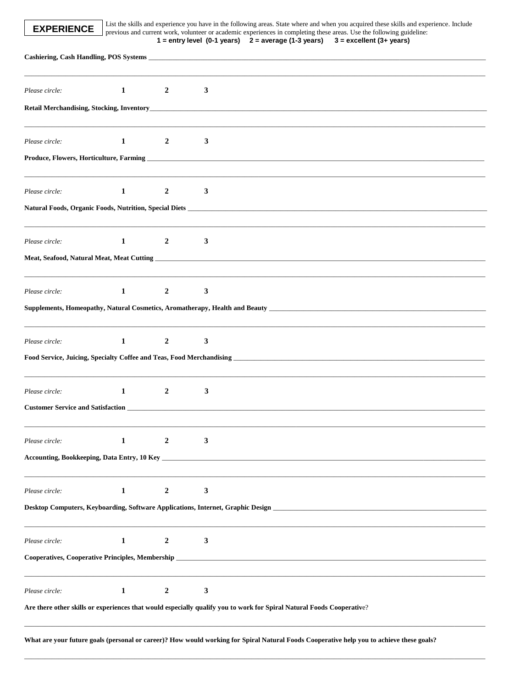List the skills and experience you have in the following areas. State where and when you acquired these skills and experience. Include previous and current work, volunteer or academic experiences in completing these areas

| $1$ = entry level (0-1 years) $2$ = average (1-3 years) $3$ = excellent (3+ years |  |  |
|-----------------------------------------------------------------------------------|--|--|
|-----------------------------------------------------------------------------------|--|--|

| Please circle:                                                                         | 1            | $\overline{2}$   | 3 |                                                                                                                                                                                                                                     |
|----------------------------------------------------------------------------------------|--------------|------------------|---|-------------------------------------------------------------------------------------------------------------------------------------------------------------------------------------------------------------------------------------|
|                                                                                        |              |                  |   | <b>Retail Merchandising, Stocking, Inventory</b> and the contract of the contract of the contract of the contract of the contract of the contract of the contract of the contract of the contract of the contract of the contract o |
| Please circle:                                                                         | 1            | $\overline{2}$   | 3 |                                                                                                                                                                                                                                     |
|                                                                                        |              |                  |   |                                                                                                                                                                                                                                     |
| Please circle:                                                                         | $\mathbf{1}$ | $\boldsymbol{2}$ | 3 |                                                                                                                                                                                                                                     |
|                                                                                        |              |                  |   |                                                                                                                                                                                                                                     |
| Please circle:                                                                         | 1            | $\overline{2}$   | 3 |                                                                                                                                                                                                                                     |
|                                                                                        |              |                  |   |                                                                                                                                                                                                                                     |
| Please circle:                                                                         | 1            | $\boldsymbol{2}$ | 3 |                                                                                                                                                                                                                                     |
|                                                                                        |              |                  |   |                                                                                                                                                                                                                                     |
| Please circle:                                                                         | $\mathbf 1$  | $\boldsymbol{2}$ | 3 |                                                                                                                                                                                                                                     |
|                                                                                        |              |                  |   | Food Service, Juicing, Specialty Coffee and Teas, Food Merchandising<br>1986. The Manual Discovery Australian School Service and Teas, Food Merchandising<br>2008. The Manual Discovery Australian School Service and Teas, Food M  |
| Please circle:                                                                         | 1            | $\overline{2}$   | 3 |                                                                                                                                                                                                                                     |
|                                                                                        |              |                  |   |                                                                                                                                                                                                                                     |
| Please circle:                                                                         | 1            |                  | 3 |                                                                                                                                                                                                                                     |
|                                                                                        |              |                  |   |                                                                                                                                                                                                                                     |
| Please circle:                                                                         | $\mathbf{1}$ | $\boldsymbol{2}$ | 3 |                                                                                                                                                                                                                                     |
|                                                                                        |              |                  |   |                                                                                                                                                                                                                                     |
|                                                                                        | 1            | $\overline{2}$   | 3 |                                                                                                                                                                                                                                     |
|                                                                                        |              |                  |   |                                                                                                                                                                                                                                     |
|                                                                                        |              |                  |   |                                                                                                                                                                                                                                     |
| Please circle:<br>Cooperatives, Cooperative Principles, Membership _<br>Please circle: | $\mathbf{1}$ | $\boldsymbol{2}$ | 3 |                                                                                                                                                                                                                                     |